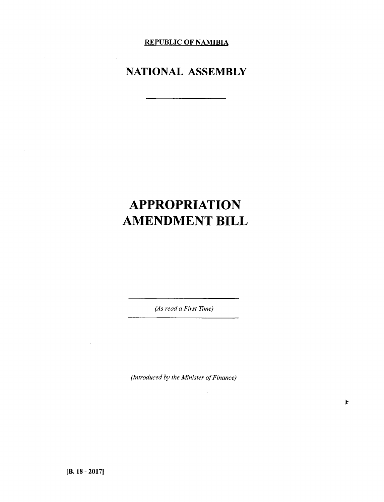**REPUBLIC OF NAMIBIA**

## **NATIONAL ASSEMBLY**

# **APPROPRIATION AMENDMENT BILL**

*(As read a First Time)*

*(Introduced by the Minister of Finance)*

 $\bar{1}$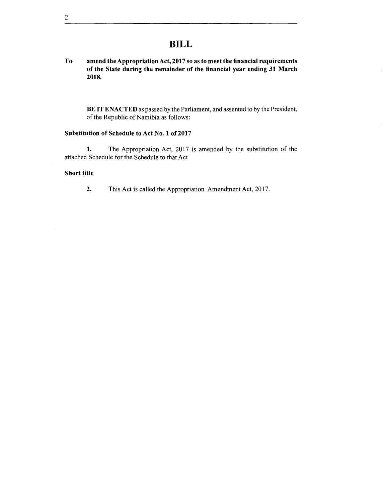## **BILL**

To amend the Appropriation Act, 2017 so as to meet the financial requirements of the State during the remainder of the financial year ending 31 March 2018.

BE IT ENACTED as passed by the Parliament, and assented to by the President, of the Republic of Namibia as follows:

#### Substitution of Schedule to Act No. 1 of 2017

1. The Appropriation Act, 2017 is amended by the substitution of the attached Schedule for the Schedule to that Act

#### Short title

2. This Act is called the Appropriation Amendment Act, 2017.